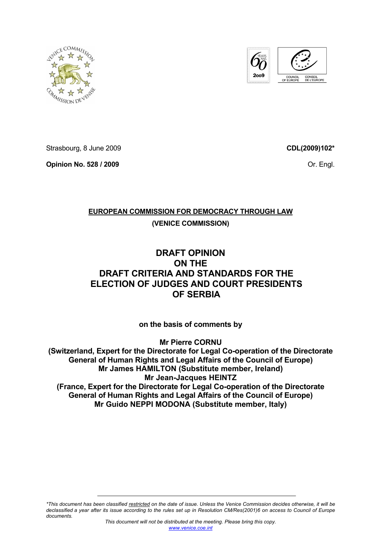



Strasbourg, 8 June 2009

**Opinion No. 528 / 2009** 

**CDL(2009)102\***

Or. Engl.

# **EUROPEAN COMMISSION FOR DEMOCRACY THROUGH LAW**

# **(VENICE COMMISSION)**

# **DRAFT OPINION ON THE DRAFT CRITERIA AND STANDARDS FOR THE ELECTION OF JUDGES AND COURT PRESIDENTS OF SERBIA**

**on the basis of comments by** 

**Mr Pierre CORNU (Switzerland, Expert for the Directorate for Legal Co-operation of the Directorate General of Human Rights and Legal Affairs of the Council of Europe) Mr James HAMILTON (Substitute member, Ireland) Mr Jean-Jacques HEINTZ (France, Expert for the Directorate for Legal Co-operation of the Directorate General of Human Rights and Legal Affairs of the Council of Europe) Mr Guido NEPPI MODONA (Substitute member, Italy)** 

*\*This document has been classified restricted on the date of issue. Unless the Venice Commission decides otherwise, it will be declassified a year after its issue according to the rules set up in Resolution CM/Res(2001)6 on access to Council of Europe documents.*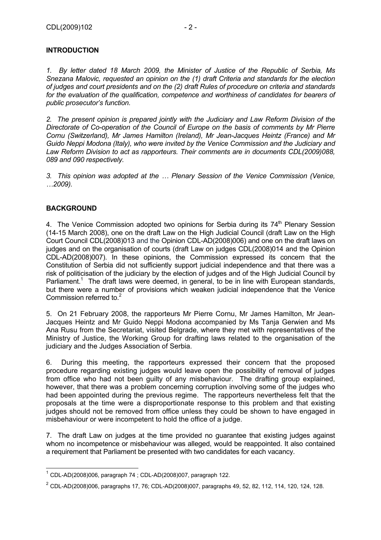# **INTRODUCTION**

*1. By letter dated 18 March 2009, the Minister of Justice of the Republic of Serbia, Ms Snezana Malovic, requested an opinion on the (1) draft Criteria and standards for the election of judges and court presidents and on the (2) draft Rules of procedure on criteria and standards for the evaluation of the qualification, competence and worthiness of candidates for bearers of public prosecutor's function.* 

*2. The present opinion is prepared jointly with the Judiciary and Law Reform Division of the Directorate of Co-operation of the Council of Europe on the basis of comments by Mr Pierre Cornu (Switzerland), Mr James Hamilton (Ireland), Mr Jean-Jacques Heintz (France) and Mr Guido Neppi Modona (Italy), who were invited by the Venice Commission and the Judiciary and Law Reform Division to act as rapporteurs. Their comments are in documents CDL(2009)088, 089 and 090 respectively.* 

*3. This opinion was adopted at the … Plenary Session of the Venice Commission (Venice, …2009).* 

# **BACKGROUND**

4. The Venice Commission adopted two opinions for Serbia during its  $74<sup>th</sup>$  Plenary Session (14-15 March 2008), one on the draft Law on the High Judicial Council (draft Law on the High Court Council CDL(2008)013 and the Opinion CDL-AD(2008)006) and one on the draft laws on judges and on the organisation of courts (draft Law on judges CDL(2008)014 and the Opinion CDL-AD(2008)007). In these opinions, the Commission expressed its concern that the Constitution of Serbia did not sufficiently support judicial independence and that there was a risk of politicisation of the judiciary by the election of judges and of the High Judicial Council by Parliament.<sup>1</sup> The draft laws were deemed, in general, to be in line with European standards, but there were a number of provisions which weaken judicial independence that the Venice Commission referred to.<sup>2</sup>

5. On 21 February 2008, the rapporteurs Mr Pierre Cornu, Mr James Hamilton, Mr Jean-Jacques Heintz and Mr Guido Neppi Modona accompanied by Ms Tanja Gerwien and Ms Ana Rusu from the Secretariat, visited Belgrade, where they met with representatives of the Ministry of Justice, the Working Group for drafting laws related to the organisation of the judiciary and the Judges Association of Serbia.

6. During this meeting, the rapporteurs expressed their concern that the proposed procedure regarding existing judges would leave open the possibility of removal of judges from office who had not been guilty of any misbehaviour. The drafting group explained, however, that there was a problem concerning corruption involving some of the judges who had been appointed during the previous regime. The rapporteurs nevertheless felt that the proposals at the time were a disproportionate response to this problem and that existing judges should not be removed from office unless they could be shown to have engaged in misbehaviour or were incompetent to hold the office of a judge.

7. The draft Law on judges at the time provided no guarantee that existing judges against whom no incompetence or misbehaviour was alleged, would be reappointed. It also contained a requirement that Parliament be presented with two candidates for each vacancy.

 $1$  CDL-AD(2008)006, paragraph 74 ; CDL-AD(2008)007, paragraph 122.

 $2^2$  CDL-AD(2008)006, paragraphs 17, 76; CDL-AD(2008)007, paragraphs 49, 52, 82, 112, 114, 120, 124, 128.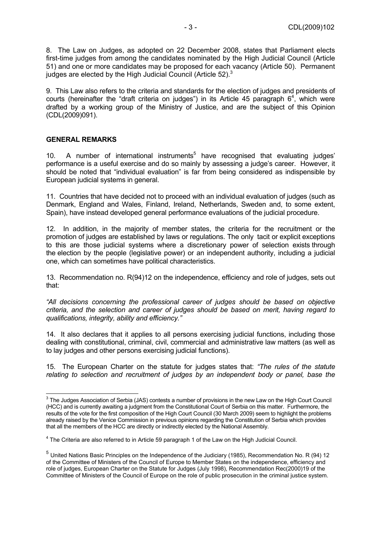8. The Law on Judges, as adopted on 22 December 2008, states that Parliament elects first-time judges from among the candidates nominated by the High Judicial Council (Article 51) and one or more candidates may be proposed for each vacancy (Article 50). Permanent judges are elected by the High Judicial Council (Article 52).<sup>3</sup>

9. This Law also refers to the criteria and standards for the election of judges and presidents of courts (hereinafter the "draft criteria on judges") in its Article 45 paragraph  $6<sup>4</sup>$ , which were drafted by a working group of the Ministry of Justice, and are the subject of this Opinion (CDL(2009)091).

#### **GENERAL REMARKS**

10. A number of international instruments<sup>5</sup> have recognised that evaluating judges' performance is a useful exercise and do so mainly by assessing a judge's career. However, it should be noted that "individual evaluation" is far from being considered as indispensible by European judicial systems in general.

11. Countries that have decided not to proceed with an individual evaluation of judges (such as Denmark, England and Wales, Finland, Ireland, Netherlands, Sweden and, to some extent, Spain), have instead developed general performance evaluations of the judicial procedure.

12. In addition, in the majority of member states, the criteria for the recruitment or the promotion of judges are established by laws or regulations. The only tacit or explicit exceptions to this are those judicial systems where a discretionary power of selection exists through the election by the people (legislative power) or an independent authority, including a judicial one, which can sometimes have political characteristics.

13. Recommendation no. R(94)12 on the independence, efficiency and role of judges, sets out that:

*"All decisions concerning the professional career of judges should be based on objective criteria, and the selection and career of judges should be based on merit, having regard to qualifications, integrity, ability and efficiency."*

14. It also declares that it applies to all persons exercising judicial functions, including those dealing with constitutional, criminal, civil, commercial and administrative law matters (as well as to lay judges and other persons exercising judicial functions).

15. The European Charter on the statute for judges states that: *"The rules of the statute relating to selection and recruitment of judges by an independent body or panel, base the* 

 3 The Judges Association of Serbia (JAS) contests a number of provisions in the new Law on the High Court Council (HCC) and is currently awaiting a judgment from the Constitutional Court of Serbia on this matter. Furthermore, the results of the vote for the first composition of the High Court Council (30 March 2009) seem to highlight the problems already raised by the Venice Commission in previous opinions regarding the Constitution of Serbia which provides that all the members of the HCC are directly or indirectly elected by the National Assembly.

<sup>&</sup>lt;sup>4</sup> The Criteria are also referred to in Article 59 paragraph 1 of the Law on the High Judicial Council.

<sup>5</sup> United Nations Basic Principles on the Independence of the Judiciary (1985), Recommendation No. R (94) 12 of the Committee of Ministers of the Council of Europe to Member States on the independence, efficiency and role of judges, European Charter on the Statute for Judges (July 1998), Recommendation Rec(2000)19 of the Committee of Ministers of the Council of Europe on the role of public prosecution in the criminal justice system.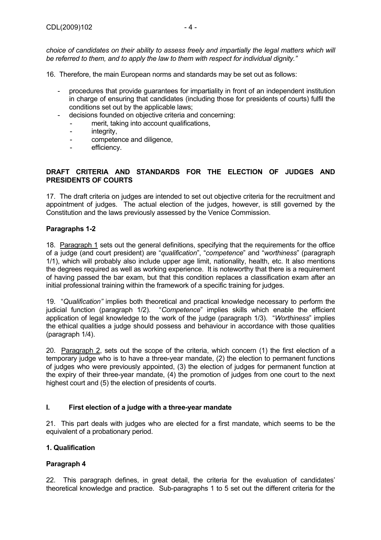- 16. Therefore, the main European norms and standards may be set out as follows:
	- procedures that provide guarantees for impartiality in front of an independent institution in charge of ensuring that candidates (including those for presidents of courts) fulfil the conditions set out by the applicable laws;
	- decisions founded on objective criteria and concerning:
		- merit, taking into account qualifications,
		- integrity,
		- competence and diligence,
		- efficiency.

# **DRAFT CRITERIA AND STANDARDS FOR THE ELECTION OF JUDGES AND PRESIDENTS OF COURTS**

17. The draft criteria on judges are intended to set out objective criteria for the recruitment and appointment of judges. The actual election of the judges, however, is still governed by the Constitution and the laws previously assessed by the Venice Commission.

# **Paragraphs 1-2**

18. Paragraph 1 sets out the general definitions, specifying that the requirements for the office of a judge (and court president) are "*qualification*", "*competence*" and "*worthiness*" (paragraph 1/1), which will probably also include upper age limit, nationality, health, etc. It also mentions the degrees required as well as working experience. It is noteworthy that there is a requirement of having passed the bar exam, but that this condition replaces a classification exam after an initial professional training within the framework of a specific training for judges.

19. "*Qualification"* implies both theoretical and practical knowledge necessary to perform the judicial function (paragraph 1/2). "*Competence*" implies skills which enable the efficient application of legal knowledge to the work of the judge (paragraph 1/3). "*Worthiness*" implies the ethical qualities a judge should possess and behaviour in accordance with those qualities (paragraph 1/4).

20. Paragraph 2, sets out the scope of the criteria, which concern (1) the first election of a temporary judge who is to have a three-year mandate, (2) the election to permanent functions of judges who were previously appointed, (3) the election of judges for permanent function at the expiry of their three-year mandate, (4) the promotion of judges from one court to the next highest court and (5) the election of presidents of courts.

# **I. First election of a judge with a three-year mandate**

21. This part deals with judges who are elected for a first mandate, which seems to be the equivalent of a probationary period.

# **1. Qualification**

# **Paragraph 4**

22. This paragraph defines, in great detail, the criteria for the evaluation of candidates' theoretical knowledge and practice. Sub-paragraphs 1 to 5 set out the different criteria for the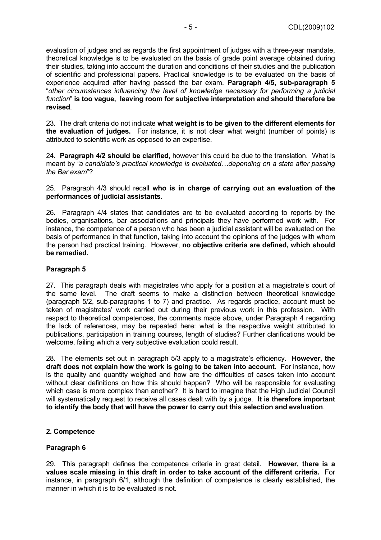evaluation of judges and as regards the first appointment of judges with a three-year mandate, theoretical knowledge is to be evaluated on the basis of grade point average obtained during their studies, taking into account the duration and conditions of their studies and the publication of scientific and professional papers. Practical knowledge is to be evaluated on the basis of experience acquired after having passed the bar exam. **Paragraph 4/5, sub-paragraph 5** "*other circumstances influencing the level of knowledge necessary for performing a judicial function*" **is too vague, leaving room for subjective interpretation and should therefore be revised**.

23. The draft criteria do not indicate **what weight is to be given to the different elements for the evaluation of judges.** For instance, it is not clear what weight (number of points) is attributed to scientific work as opposed to an expertise.

24. **Paragraph 4/2 should be clarified**, however this could be due to the translation. What is meant by *"a candidate's practical knowledge is evaluated…depending on a state after passing the Bar exam*"?

25. Paragraph 4/3 should recall **who is in charge of carrying out an evaluation of the performances of judicial assistants**.

26. Paragraph 4/4 states that candidates are to be evaluated according to reports by the bodies, organisations, bar associations and principals they have performed work with. For instance, the competence of a person who has been a judicial assistant will be evaluated on the basis of performance in that function, taking into account the opinions of the judges with whom the person had practical training. However, **no objective criteria are defined, which should be remedied.**

# **Paragraph 5**

27. This paragraph deals with magistrates who apply for a position at a magistrate's court of the same level. The draft seems to make a distinction between theoretical knowledge (paragraph 5/2, sub-paragraphs 1 to 7) and practice. As regards practice, account must be taken of magistrates' work carried out during their previous work in this profession. With respect to theoretical competences, the comments made above, under Paragraph 4 regarding the lack of references, may be repeated here: what is the respective weight attributed to publications, participation in training courses, length of studies? Further clarifications would be welcome, failing which a very subjective evaluation could result.

28. The elements set out in paragraph 5/3 apply to a magistrate's efficiency. **However, the draft does not explain how the work is going to be taken into account.** For instance, how is the quality and quantity weighed and how are the difficulties of cases taken into account without clear definitions on how this should happen? Who will be responsible for evaluating which case is more complex than another? It is hard to imagine that the High Judicial Council will systematically request to receive all cases dealt with by a judge. **It is therefore important to identify the body that will have the power to carry out this selection and evaluation**.

#### **2. Competence**

# **Paragraph 6**

29. This paragraph defines the competence criteria in great detail. **However, there is a values scale missing in this draft in order to take account of the different criteria.** For instance, in paragraph 6/1, although the definition of competence is clearly established, the manner in which it is to be evaluated is not.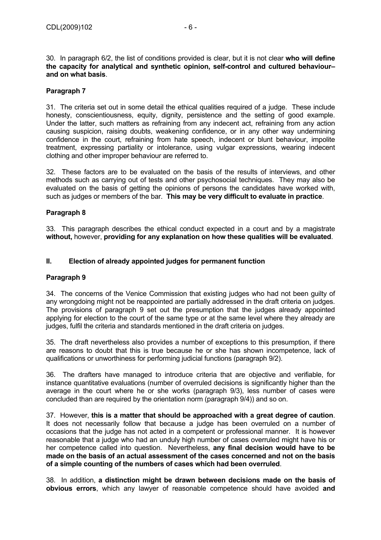30. In paragraph 6/2, the list of conditions provided is clear, but it is not clear **who will define the capacity for analytical and synthetic opinion, self-control and cultured behaviour– and on what basis**.

# **Paragraph 7**

31. The criteria set out in some detail the ethical qualities required of a judge. These include honesty, conscientiousness, equity, dignity, persistence and the setting of good example. Under the latter, such matters as refraining from any indecent act, refraining from any action causing suspicion, raising doubts, weakening confidence, or in any other way undermining confidence in the court, refraining from hate speech, indecent or blunt behaviour, impolite treatment, expressing partiality or intolerance, using vulgar expressions, wearing indecent clothing and other improper behaviour are referred to.

32. These factors are to be evaluated on the basis of the results of interviews, and other methods such as carrying out of tests and other psychosocial techniques. They may also be evaluated on the basis of getting the opinions of persons the candidates have worked with. such as judges or members of the bar. **This may be very difficult to evaluate in practice**.

#### **Paragraph 8**

33. This paragraph describes the ethical conduct expected in a court and by a magistrate **without,** however, **providing for any explanation on how these qualities will be evaluated**.

#### **II. Election of already appointed judges for permanent function**

#### **Paragraph 9**

34. The concerns of the Venice Commission that existing judges who had not been guilty of any wrongdoing might not be reappointed are partially addressed in the draft criteria on judges. The provisions of paragraph 9 set out the presumption that the judges already appointed applying for election to the court of the same type or at the same level where they already are judges, fulfil the criteria and standards mentioned in the draft criteria on judges.

35. The draft nevertheless also provides a number of exceptions to this presumption, if there are reasons to doubt that this is true because he or she has shown incompetence, lack of qualifications or unworthiness for performing judicial functions (paragraph 9/2).

36. The drafters have managed to introduce criteria that are objective and verifiable, for instance quantitative evaluations (number of overruled decisions is significantly higher than the average in the court where he or she works (paragraph 9/3), less number of cases were concluded than are required by the orientation norm (paragraph 9/4)) and so on.

37. However, **this is a matter that should be approached with a great degree of caution**. It does not necessarily follow that because a judge has been overruled on a number of occasions that the judge has not acted in a competent or professional manner. It is however reasonable that a judge who had an unduly high number of cases overruled might have his or her competence called into question. Nevertheless, **any final decision would have to be made on the basis of an actual assessment of the cases concerned and not on the basis of a simple counting of the numbers of cases which had been overruled**.

38. In addition, **a distinction might be drawn between decisions made on the basis of obvious errors**, which any lawyer of reasonable competence should have avoided **and**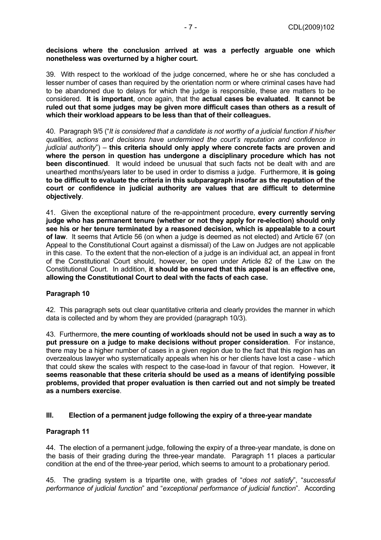#### **decisions where the conclusion arrived at was a perfectly arguable one which nonetheless was overturned by a higher court.**

39. With respect to the workload of the judge concerned, where he or she has concluded a lesser number of cases than required by the orientation norm or where criminal cases have had to be abandoned due to delays for which the judge is responsible, these are matters to be considered. **It is important**, once again, that the **actual cases be evaluated**. **It cannot be ruled out that some judges may be given more difficult cases than others as a result of which their workload appears to be less than that of their colleagues.** 

40. Paragraph 9/5 ("*It is considered that a candidate is not worthy of a judicial function if his/her qualities, actions and decisions have undermined the court's reputation and confidence in judicial authority*") – **this criteria should only apply where concrete facts are proven and where the person in question has undergone a disciplinary procedure which has not been discontinued**. It would indeed be unusual that such facts not be dealt with and are unearthed months/years later to be used in order to dismiss a judge. Furthermore, **it is going to be difficult to evaluate the criteria in this subparagraph insofar as the reputation of the court or confidence in judicial authority are values that are difficult to determine objectively**.

41. Given the exceptional nature of the re-appointment procedure, **every currently serving judge who has permanent tenure (whether or not they apply for re-election) should only see his or her tenure terminated by a reasoned decision, which is appealable to a court of law**. It seems that Article 56 (on when a judge is deemed as not elected) and Article 67 (on Appeal to the Constitutional Court against a dismissal) of the Law on Judges are not applicable in this case. To the extent that the non-election of a judge is an individual act, an appeal in front of the Constitutional Court should, however, be open under Article 82 of the Law on the Constitutional Court. In addition, **it should be ensured that this appeal is an effective one, allowing the Constitutional Court to deal with the facts of each case.**

# **Paragraph 10**

42. This paragraph sets out clear quantitative criteria and clearly provides the manner in which data is collected and by whom they are provided (paragraph 10/3).

43. Furthermore, **the mere counting of workloads should not be used in such a way as to put pressure on a judge to make decisions without proper consideration**. For instance, there may be a higher number of cases in a given region due to the fact that this region has an overzealous lawyer who systematically appeals when his or her clients have lost a case - which that could skew the scales with respect to the case-load in favour of that region. However, **it seems reasonable that these criteria should be used as a means of identifying possible problems, provided that proper evaluation is then carried out and not simply be treated as a numbers exercise**.

# **III. Election of a permanent judge following the expiry of a three-year mandate**

# **Paragraph 11**

44. The election of a permanent judge, following the expiry of a three-year mandate, is done on the basis of their grading during the three-year mandate. Paragraph 11 places a particular condition at the end of the three-year period, which seems to amount to a probationary period.

45. The grading system is a tripartite one, with grades of "*does not satisfy*", "*successful performance of judicial function*" and "*exceptional performance of judicial function*". According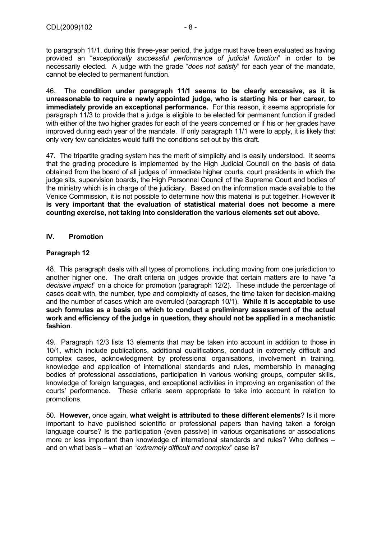to paragraph 11/1, during this three-year period, the judge must have been evaluated as having provided an "*exceptionally successful performance of judicial function*" in order to be necessarily elected. A judge with the grade "*does not satisfy*" for each year of the mandate, cannot be elected to permanent function.

46. The **condition under paragraph 11/1 seems to be clearly excessive, as it is unreasonable to require a newly appointed judge, who is starting his or her career, to immediately provide an exceptional performance.** For this reason, it seems appropriate for paragraph 11/3 to provide that a judge is eligible to be elected for permanent function if graded with either of the two higher grades for each of the years concerned or if his or her grades have improved during each year of the mandate. If only paragraph 11/1 were to apply, it is likely that only very few candidates would fulfil the conditions set out by this draft.

47. The tripartite grading system has the merit of simplicity and is easily understood. It seems that the grading procedure is implemented by the High Judicial Council on the basis of data obtained from the board of all judges of immediate higher courts, court presidents in which the judge sits, supervision boards, the High Personnel Council of the Supreme Court and bodies of the ministry which is in charge of the judiciary. Based on the information made available to the Venice Commission, it is not possible to determine how this material is put together. However **it is very important that the evaluation of statistical material does not become a mere counting exercise, not taking into consideration the various elements set out above.** 

# **IV. Promotion**

# **Paragraph 12**

48. This paragraph deals with all types of promotions, including moving from one jurisdiction to another higher one. The draft criteria on judges provide that certain matters are to have "*a decisive impact*" on a choice for promotion (paragraph 12/2). These include the percentage of cases dealt with, the number, type and complexity of cases, the time taken for decision-making and the number of cases which are overruled (paragraph 10/1). **While it is acceptable to use such formulas as a basis on which to conduct a preliminary assessment of the actual work and efficiency of the judge in question, they should not be applied in a mechanistic fashion**.

49. Paragraph 12/3 lists 13 elements that may be taken into account in addition to those in 10/1, which include publications, additional qualifications, conduct in extremely difficult and complex cases, acknowledgment by professional organisations, involvement in training, knowledge and application of international standards and rules, membership in managing bodies of professional associations, participation in various working groups, computer skills, knowledge of foreign languages, and exceptional activities in improving an organisation of the courts' performance. These criteria seem appropriate to take into account in relation to promotions.

50. **However,** once again, **what weight is attributed to these different elements**? Is it more important to have published scientific or professional papers than having taken a foreign language course? Is the participation (even passive) in various organisations or associations more or less important than knowledge of international standards and rules? Who defines – and on what basis – what an "*extremely difficult and complex*" case is?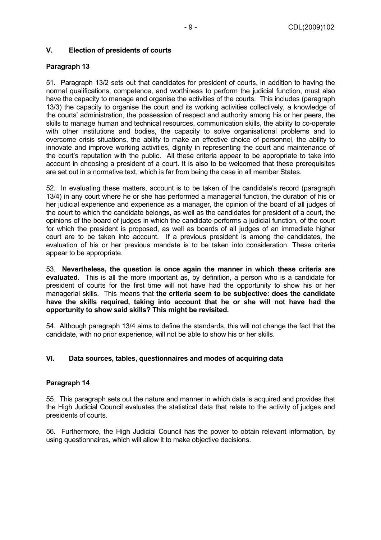# **V. Election of presidents of courts**

# **Paragraph 13**

51. Paragraph 13/2 sets out that candidates for president of courts, in addition to having the normal qualifications, competence, and worthiness to perform the judicial function, must also have the capacity to manage and organise the activities of the courts. This includes (paragraph 13/3) the capacity to organise the court and its working activities collectively, a knowledge of the courts' administration, the possession of respect and authority among his or her peers, the skills to manage human and technical resources, communication skills, the ability to co-operate with other institutions and bodies, the capacity to solve organisational problems and to overcome crisis situations, the ability to make an effective choice of personnel, the ability to innovate and improve working activities, dignity in representing the court and maintenance of the court's reputation with the public. All these criteria appear to be appropriate to take into account in choosing a president of a court. It is also to be welcomed that these prerequisites are set out in a normative text, which is far from being the case in all member States.

52. In evaluating these matters, account is to be taken of the candidate's record (paragraph 13/4) in any court where he or she has performed a managerial function, the duration of his or her judicial experience and experience as a manager, the opinion of the board of all judges of the court to which the candidate belongs, as well as the candidates for president of a court, the opinions of the board of judges in which the candidate performs a judicial function, of the court for which the president is proposed, as well as boards of all judges of an immediate higher court are to be taken into account. If a previous president is among the candidates, the evaluation of his or her previous mandate is to be taken into consideration. These criteria appear to be appropriate.

53. **Nevertheless, the question is once again the manner in which these criteria are evaluated**. This is all the more important as, by definition, a person who is a candidate for president of courts for the first time will not have had the opportunity to show his or her managerial skills. This means that **the criteria seem to be subjective: does the candidate have the skills required, taking into account that he or she will not have had the opportunity to show said skills? This might be revisited.** 

54. Although paragraph 13/4 aims to define the standards, this will not change the fact that the candidate, with no prior experience, will not be able to show his or her skills.

# **VI. Data sources, tables, questionnaires and modes of acquiring data**

# **Paragraph 14**

55. This paragraph sets out the nature and manner in which data is acquired and provides that the High Judicial Council evaluates the statistical data that relate to the activity of judges and presidents of courts.

56. Furthermore, the High Judicial Council has the power to obtain relevant information, by using questionnaires, which will allow it to make objective decisions.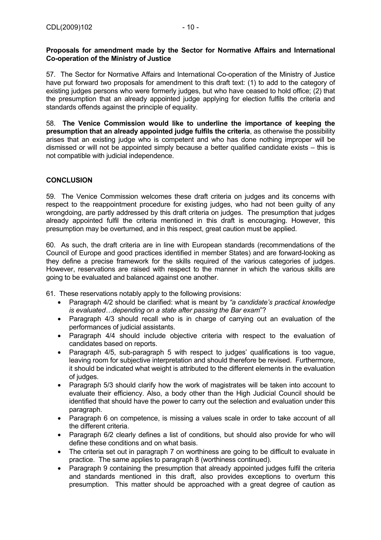57. The Sector for Normative Affairs and International Co-operation of the Ministry of Justice have put forward two proposals for amendment to this draft text: (1) to add to the category of existing judges persons who were formerly judges, but who have ceased to hold office; (2) that the presumption that an already appointed judge applying for election fulfils the criteria and standards offends against the principle of equality.

58. **The Venice Commission would like to underline the importance of keeping the presumption that an already appointed judge fulfils the criteria**, as otherwise the possibility arises that an existing judge who is competent and who has done nothing improper will be dismissed or will not be appointed simply because a better qualified candidate exists – this is not compatible with judicial independence.

# **CONCLUSION**

59. The Venice Commission welcomes these draft criteria on judges and its concerns with respect to the reappointment procedure for existing judges, who had not been guilty of any wrongdoing, are partly addressed by this draft criteria on judges. The presumption that judges already appointed fulfil the criteria mentioned in this draft is encouraging. However, this presumption may be overturned, and in this respect, great caution must be applied.

60. As such, the draft criteria are in line with European standards (recommendations of the Council of Europe and good practices identified in member States) and are forward-looking as they define a precise framework for the skills required of the various categories of judges. However, reservations are raised with respect to the manner in which the various skills are going to be evaluated and balanced against one another.

61. These reservations notably apply to the following provisions:

- Paragraph 4/2 should be clarified: what is meant by *"a candidate's practical knowledge is evaluated…depending on a state after passing the Bar exam*"?
- Paragraph 4/3 should recall who is in charge of carrying out an evaluation of the performances of judicial assistants.
- Paragraph 4/4 should include objective criteria with respect to the evaluation of candidates based on reports.
- Paragraph 4/5, sub-paragraph 5 with respect to judges' qualifications is too vague, leaving room for subjective interpretation and should therefore be revised. Furthermore, it should be indicated what weight is attributed to the different elements in the evaluation of judges.
- Paragraph 5/3 should clarify how the work of magistrates will be taken into account to evaluate their efficiency. Also, a body other than the High Judicial Council should be identified that should have the power to carry out the selection and evaluation under this paragraph.
- Paragraph 6 on competence, is missing a values scale in order to take account of all the different criteria.
- Paragraph 6/2 clearly defines a list of conditions, but should also provide for who will define these conditions and on what basis.
- The criteria set out in paragraph 7 on worthiness are going to be difficult to evaluate in practice. The same applies to paragraph 8 (worthiness continued).
- Paragraph 9 containing the presumption that already appointed judges fulfil the criteria and standards mentioned in this draft, also provides exceptions to overturn this presumption. This matter should be approached with a great degree of caution as